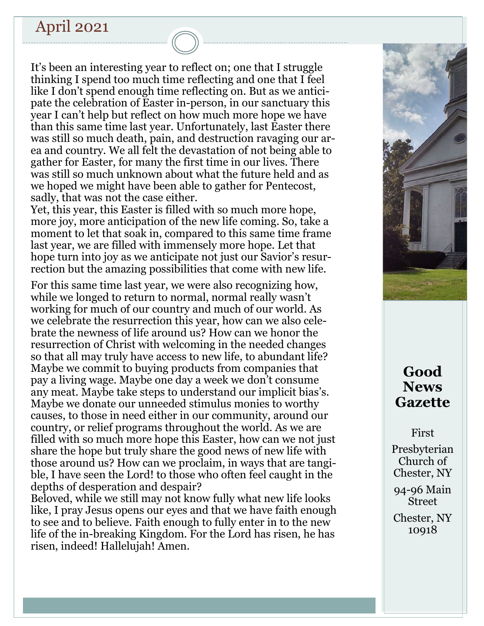# April 2021

It's been an interesting year to reflect on; one that I struggle thinking I spend too much time reflecting and one that I feel like I don't spend enough time reflecting on. But as we anticipate the celebration of Easter in-person, in our sanctuary this year I can't help but reflect on how much more hope we have than this same time last year. Unfortunately, last Easter there was still so much death, pain, and destruction ravaging our area and country. We all felt the devastation of not being able to gather for Easter, for many the first time in our lives. There was still so much unknown about what the future held and as we hoped we might have been able to gather for Pentecost, sadly, that was not the case either.

Yet, this year, this Easter is filled with so much more hope, more joy, more anticipation of the new life coming. So, take a moment to let that soak in, compared to this same time frame last year, we are filled with immensely more hope. Let that hope turn into joy as we anticipate not just our Savior's resurrection but the amazing possibilities that come with new life.

For this same time last year, we were also recognizing how, while we longed to return to normal, normal really wasn't working for much of our country and much of our world. As we celebrate the resurrection this year, how can we also celebrate the newness of life around us? How can we honor the resurrection of Christ with welcoming in the needed changes so that all may truly have access to new life, to abundant life? Maybe we commit to buying products from companies that pay a living wage. Maybe one day a week we don't consume any meat. Maybe take steps to understand our implicit bias's. Maybe we donate our unneeded stimulus monies to worthy causes, to those in need either in our community, around our country, or relief programs throughout the world. As we are filled with so much more hope this Easter, how can we not just share the hope but truly share the good news of new life with those around us? How can we proclaim, in ways that are tangible, I have seen the Lord! to those who often feel caught in the depths of desperation and despair?

Beloved, while we still may not know fully what new life looks like, I pray Jesus opens our eyes and that we have faith enough to see and to believe. Faith enough to fully enter in to the new life of the in-breaking Kingdom. For the Lord has risen, he has risen, indeed! Hallelujah! Amen.



# **Good News Gazette**

First

Presbyterian Church of Chester, NY

94-96 Main Street

Chester, NY 10918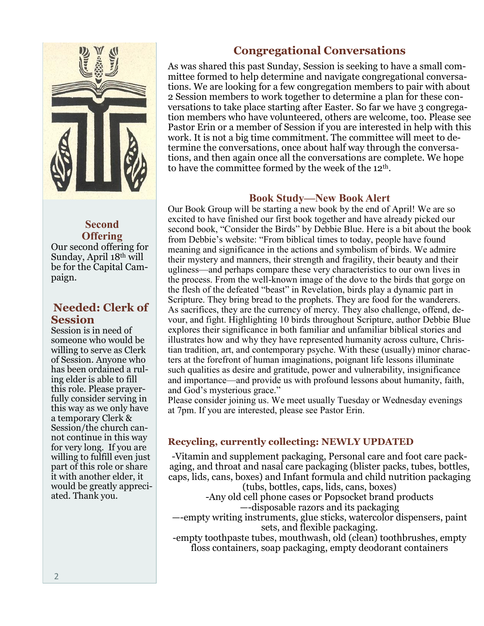

# **Second Offering**

Our second offering for Sunday, April 18th will be for the Capital Campaign.

# **Needed: Clerk of Session**

Session is in need of someone who would be willing to serve as Clerk of Session. Anyone who has been ordained a ruling elder is able to fill this role. Please prayerfully consider serving in this way as we only have a temporary Clerk & Session/the church cannot continue in this way for very long. If you are willing to fulfill even just part of this role or share it with another elder, it would be greatly appreciated. Thank you.

# **Congregational Conversations**

As was shared this past Sunday, Session is seeking to have a small committee formed to help determine and navigate congregational conversations. We are looking for a few congregation members to pair with about 2 Session members to work together to determine a plan for these conversations to take place starting after Easter. So far we have 3 congregation members who have volunteered, others are welcome, too. Please see Pastor Erin or a member of Session if you are interested in help with this work. It is not a big time commitment. The committee will meet to determine the conversations, once about half way through the conversations, and then again once all the conversations are complete. We hope to have the committee formed by the week of the 12th.

### **Book Study—New Book Alert**

Our Book Group will be starting a new book by the end of April! We are so excited to have finished our first book together and have already picked our second book, "Consider the Birds" by Debbie Blue. Here is a bit about the book from Debbie's website: "From biblical times to today, people have found meaning and significance in the actions and symbolism of birds. We admire their mystery and manners, their strength and fragility, their beauty and their ugliness—and perhaps compare these very characteristics to our own lives in the process. From the well-known image of the dove to the birds that gorge on the flesh of the defeated "beast" in Revelation, birds play a dynamic part in Scripture. They bring bread to the prophets. They are food for the wanderers. As sacrifices, they are the currency of mercy. They also challenge, offend, devour, and fight. Highlighting 10 birds throughout Scripture, author Debbie Blue explores their significance in both familiar and unfamiliar biblical stories and illustrates how and why they have represented humanity across culture, Christian tradition, art, and contemporary psyche. With these (usually) minor characters at the forefront of human imaginations, poignant life lessons illuminate such qualities as desire and gratitude, power and vulnerability, insignificance and importance—and provide us with profound lessons about humanity, faith, and God's mysterious grace."

Please consider joining us. We meet usually Tuesday or Wednesday evenings at 7pm. If you are interested, please see Pastor Erin.

# **Recycling, currently collecting: NEWLY UPDATED**

-Vitamin and supplement packaging, Personal care and foot care packaging, and throat and nasal care packaging (blister packs, tubes, bottles, caps, lids, cans, boxes) and Infant formula and child nutrition packaging (tubs, bottles, caps, lids, cans, boxes)

-Any old cell phone cases or Popsocket brand products —-disposable razors and its packaging

—-empty writing instruments, glue sticks, watercolor dispensers, paint sets, and flexible packaging.

-empty toothpaste tubes, mouthwash, old (clean) toothbrushes, empty floss containers, soap packaging, empty deodorant containers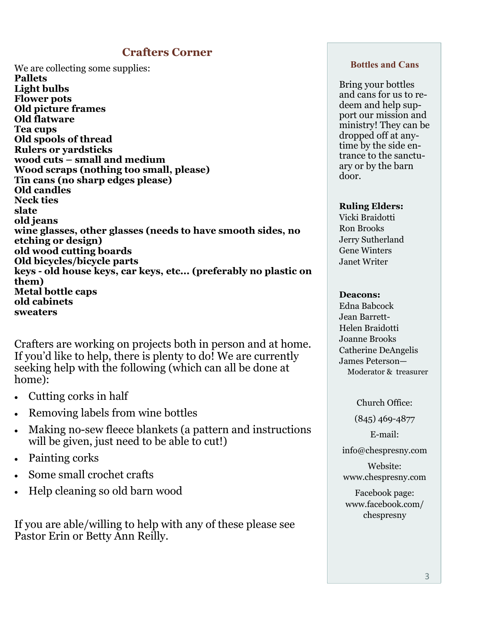## **Crafters Corner**

We are collecting some supplies: **Pallets Light bulbs Flower pots Old picture frames Old flatware Tea cups Old spools of thread Rulers or yardsticks wood cuts – small and medium Wood scraps (nothing too small, please) Tin cans (no sharp edges please) Old candles Neck ties slate old jeans wine glasses, other glasses (needs to have smooth sides, no etching or design) old wood cutting boards Old bicycles/bicycle parts keys - old house keys, car keys, etc... (preferably no plastic on them) Metal bottle caps old cabinets sweaters**

Crafters are working on projects both in person and at home. If you'd like to help, there is plenty to do! We are currently seeking help with the following (which can all be done at home):

- Cutting corks in half
- Removing labels from wine bottles
- Making no-sew fleece blankets (a pattern and instructions will be given, just need to be able to cut!)
- Painting corks
- Some small crochet crafts
- Help cleaning so old barn wood

If you are able/willing to help with any of these please see Pastor Erin or Betty Ann Reilly.

#### **Bottles and Cans**

Bring your bottles and cans for us to redeem and help support our mission and ministry! They can be dropped off at anytime by the side entrance to the sanctuary or by the barn door.

#### **Ruling Elders:**

Vicki Braidotti Ron Brooks Jerry Sutherland Gene Winters Janet Writer

#### **Deacons:**

Edna Babcock Jean Barrett-Helen Braidotti Joanne Brooks Catherine DeAngelis James Peterson— Moderator & treasurer

Church Office:

(845) 469-4877

E-mail:

info@chespresny.com

Website: www.chespresny.com

Facebook page: www.facebook.com/ chespresny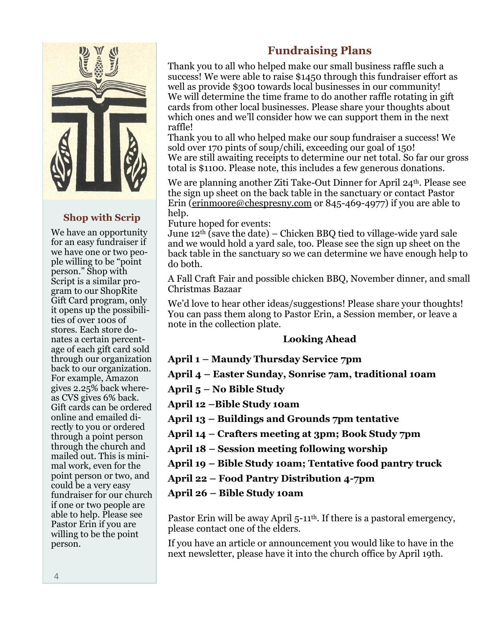

### **Shop with Scrip**

We have an opportunity for an easy fundraiser if we have one or two people willing to be "point person." Shop with Script is a similar program to our ShopRite Gift Card program, only it opens up the possibilities of over 100s of stores. Each store donates a certain percentage of each gift card sold through our organization back to our organization. For example, Amazon gives 2.25% back whereas CVS gives 6% back. Gift cards can be ordered online and emailed directly to you or ordered through a point person through the church and mailed out. This is minimal work, even for the point person or two, and could be a very easy fundraiser for our church if one or two people are able to help. Please see Pastor Erin if you are willing to be the point person.

# **Fundraising Plans**

Thank you to all who helped make our small business raffle such a success! We were able to raise \$1450 through this fundraiser effort as well as provide \$300 towards local businesses in our community! We will determine the time frame to do another raffle rotating in gift cards from other local businesses. Please share your thoughts about which ones and we'll consider how we can support them in the next raffle!

Thank you to all who helped make our soup fundraiser a success! We sold over 170 pints of soup/chili, exceeding our goal of 150! We are still awaiting receipts to determine our net total. So far our gross total is \$1100. Please note, this includes a few generous donations.

We are planning another Ziti Take-Out Dinner for April 24<sup>th</sup>. Please see the sign up sheet on the back table in the sanctuary or contact Pastor Erin [\(erinmoore@chespresny.com](mailto:erinmoore@chespresny.com) or 845-469-4977) if you are able to help.

Future hoped for events:

June 12<sup>th</sup> (save the date) – Chicken BBQ tied to village-wide yard sale and we would hold a yard sale, too. Please see the sign up sheet on the back table in the sanctuary so we can determine we have enough help to do both.

A Fall Craft Fair and possible chicken BBQ, November dinner, and small Christmas Bazaar

We'd love to hear other ideas/suggestions! Please share your thoughts! You can pass them along to Pastor Erin, a Session member, or leave a note in the collection plate.

### **Looking Ahead**

### **April 1 – Maundy Thursday Service 7pm**

**April 4 – Easter Sunday, Sonrise 7am, traditional 10am**

**April 5 – No Bible Study**

**April 12 –Bible Study 10am** 

**April 13 – Buildings and Grounds 7pm tentative**

**April 14 – Crafters meeting at 3pm; Book Study 7pm**

**April 18 – Session meeting following worship**

**April 19 – Bible Study 10am; Tentative food pantry truck**

**April 22 – Food Pantry Distribution 4-7pm**

**April 26 – Bible Study 10am**

Pastor Erin will be away April 5-11<sup>th</sup>. If there is a pastoral emergency, please contact one of the elders.

If you have an article or announcement you would like to have in the next newsletter, please have it into the church office by April 19th.